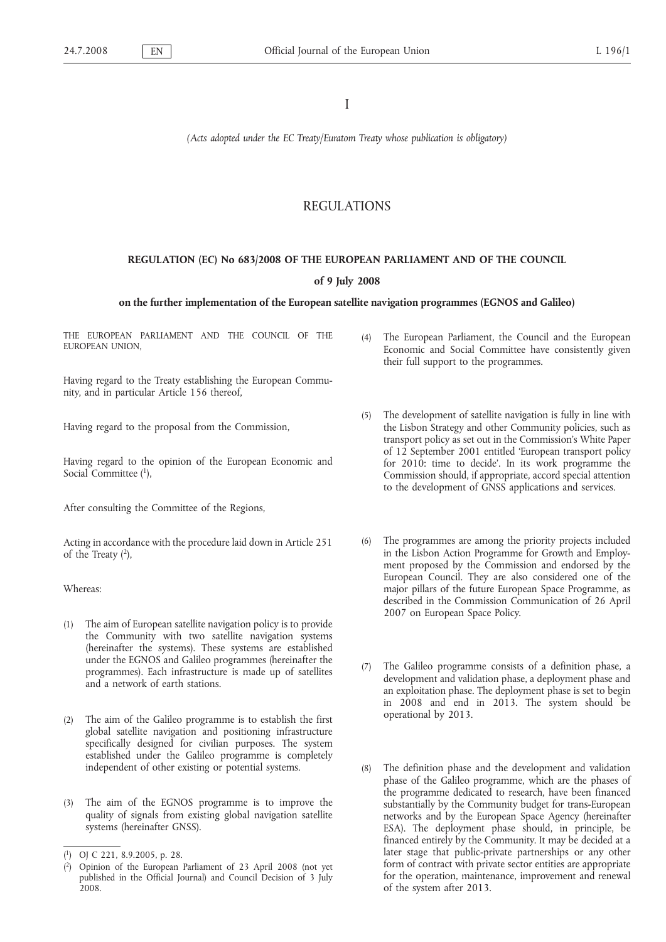I

*(Acts adopted under the EC Treaty/Euratom Treaty whose publication is obligatory)*

# REGULATIONS

# **REGULATION (EC) No 683/2008 OF THE EUROPEAN PARLIAMENT AND OF THE COUNCIL**

### **of 9 July 2008**

# **on the further implementation of the European satellite navigation programmes (EGNOS and Galileo)**

THE EUROPEAN PARLIAMENT AND THE COUNCIL OF THE EUROPEAN UNION,

Having regard to the Treaty establishing the European Community, and in particular Article 156 thereof,

Having regard to the proposal from the Commission,

Having regard to the opinion of the European Economic and Social Committee  $(1)$ ,

After consulting the Committee of the Regions,

Acting in accordance with the procedure laid down in Article 251 of the Treaty  $(2)$ ,

Whereas:

- (1) The aim of European satellite navigation policy is to provide the Community with two satellite navigation systems (hereinafter the systems). These systems are established under the EGNOS and Galileo programmes (hereinafter the programmes). Each infrastructure is made up of satellites and a network of earth stations.
- (2) The aim of the Galileo programme is to establish the first global satellite navigation and positioning infrastructure specifically designed for civilian purposes. The system established under the Galileo programme is completely independent of other existing or potential systems.
- The aim of the EGNOS programme is to improve the quality of signals from existing global navigation satellite systems (hereinafter GNSS).
- (4) The European Parliament, the Council and the European Economic and Social Committee have consistently given their full support to the programmes.
- (5) The development of satellite navigation is fully in line with the Lisbon Strategy and other Community policies, such as transport policy as set out in the Commission's White Paper of 12 September 2001 entitled 'European transport policy for 2010: time to decide'. In its work programme the Commission should, if appropriate, accord special attention to the development of GNSS applications and services.
- (6) The programmes are among the priority projects included in the Lisbon Action Programme for Growth and Employment proposed by the Commission and endorsed by the European Council. They are also considered one of the major pillars of the future European Space Programme, as described in the Commission Communication of 26 April 2007 on European Space Policy.
- (7) The Galileo programme consists of a definition phase, a development and validation phase, a deployment phase and an exploitation phase. The deployment phase is set to begin in 2008 and end in 2013. The system should be operational by 2013.
- The definition phase and the development and validation phase of the Galileo programme, which are the phases of the programme dedicated to research, have been financed substantially by the Community budget for trans-European networks and by the European Space Agency (hereinafter ESA). The deployment phase should, in principle, be financed entirely by the Community. It may be decided at a later stage that public-private partnerships or any other form of contract with private sector entities are appropriate for the operation, maintenance, improvement and renewal of the system after 2013.

<sup>(</sup> 1) OJ C 221, 8.9.2005, p. 28.

<sup>(</sup> 2) Opinion of the European Parliament of 23 April 2008 (not yet published in the Official Journal) and Council Decision of 3 July 2008.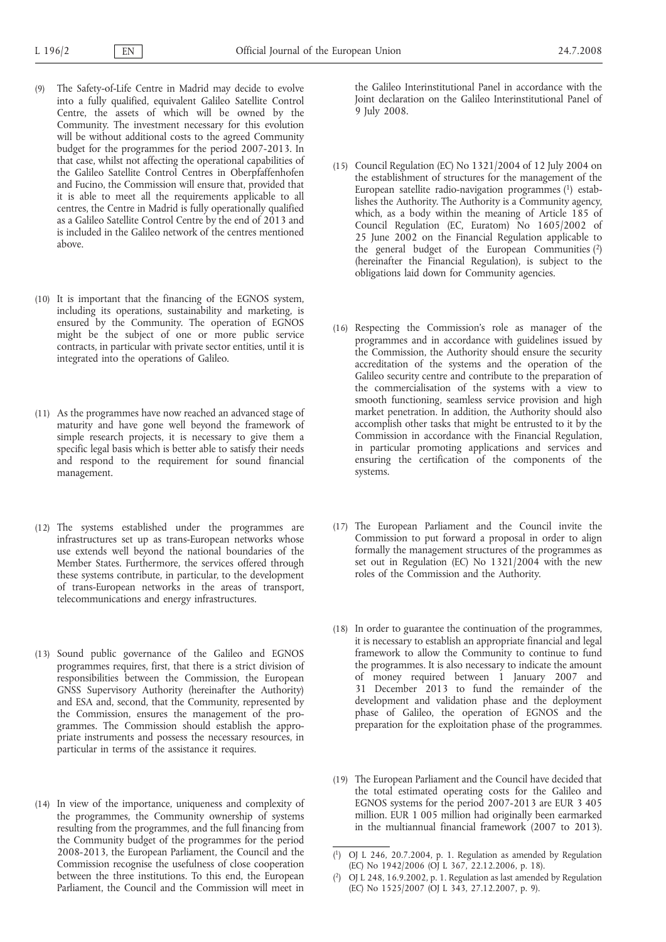- (9) The Safety-of-Life Centre in Madrid may decide to evolve into a fully qualified, equivalent Galileo Satellite Control Centre, the assets of which will be owned by the Community. The investment necessary for this evolution will be without additional costs to the agreed Community budget for the programmes for the period 2007-2013. In that case, whilst not affecting the operational capabilities of the Galileo Satellite Control Centres in Oberpfaffenhofen and Fucino, the Commission will ensure that, provided that it is able to meet all the requirements applicable to all centres, the Centre in Madrid is fully operationally qualified as a Galileo Satellite Control Centre by the end of 2013 and is included in the Galileo network of the centres mentioned above.
- (10) It is important that the financing of the EGNOS system, including its operations, sustainability and marketing, is ensured by the Community. The operation of EGNOS might be the subject of one or more public service contracts, in particular with private sector entities, until it is integrated into the operations of Galileo.
- (11) As the programmes have now reached an advanced stage of maturity and have gone well beyond the framework of simple research projects, it is necessary to give them a specific legal basis which is better able to satisfy their needs and respond to the requirement for sound financial management.
- (12) The systems established under the programmes are infrastructures set up as trans-European networks whose use extends well beyond the national boundaries of the Member States. Furthermore, the services offered through these systems contribute, in particular, to the development of trans-European networks in the areas of transport, telecommunications and energy infrastructures.
- (13) Sound public governance of the Galileo and EGNOS programmes requires, first, that there is a strict division of responsibilities between the Commission, the European GNSS Supervisory Authority (hereinafter the Authority) and ESA and, second, that the Community, represented by the Commission, ensures the management of the programmes. The Commission should establish the appropriate instruments and possess the necessary resources, in particular in terms of the assistance it requires.
- (14) In view of the importance, uniqueness and complexity of the programmes, the Community ownership of systems resulting from the programmes, and the full financing from the Community budget of the programmes for the period 2008-2013, the European Parliament, the Council and the Commission recognise the usefulness of close cooperation between the three institutions. To this end, the European Parliament, the Council and the Commission will meet in

the Galileo Interinstitutional Panel in accordance with the Joint declaration on the Galileo Interinstitutional Panel of 9 July 2008.

- (15) Council Regulation (EC) No 1321/2004 of 12 July 2004 on the establishment of structures for the management of the European satellite radio-navigation programmes (1) establishes the Authority. The Authority is a Community agency, which, as a body within the meaning of Article 185 of Council Regulation (EC, Euratom) No 1605/2002 of 25 June 2002 on the Financial Regulation applicable to the general budget of the European Communities (2) (hereinafter the Financial Regulation), is subject to the obligations laid down for Community agencies.
- (16) Respecting the Commission's role as manager of the programmes and in accordance with guidelines issued by the Commission, the Authority should ensure the security accreditation of the systems and the operation of the Galileo security centre and contribute to the preparation of the commercialisation of the systems with a view to smooth functioning, seamless service provision and high market penetration. In addition, the Authority should also accomplish other tasks that might be entrusted to it by the Commission in accordance with the Financial Regulation, in particular promoting applications and services and ensuring the certification of the components of the systems.
- (17) The European Parliament and the Council invite the Commission to put forward a proposal in order to align formally the management structures of the programmes as set out in Regulation (EC) No 1321/2004 with the new roles of the Commission and the Authority.
- (18) In order to guarantee the continuation of the programmes, it is necessary to establish an appropriate financial and legal framework to allow the Community to continue to fund the programmes. It is also necessary to indicate the amount of money required between 1 January 2007 and 31 December 2013 to fund the remainder of the development and validation phase and the deployment phase of Galileo, the operation of EGNOS and the preparation for the exploitation phase of the programmes.
- (19) The European Parliament and the Council have decided that the total estimated operating costs for the Galileo and EGNOS systems for the period 2007-2013 are EUR 3 405 million. EUR 1 005 million had originally been earmarked in the multiannual financial framework (2007 to 2013).

<sup>(</sup> 1) OJ L 246, 20.7.2004, p. 1. Regulation as amended by Regulation (EC) No 1942/2006 (OJ L 367, 22.12.2006, p. 18).

<sup>(</sup> 2) OJ L 248, 16.9.2002, p. 1. Regulation as last amended by Regulation (EC) No 1525/2007 (OJ L 343, 27.12.2007, p. 9).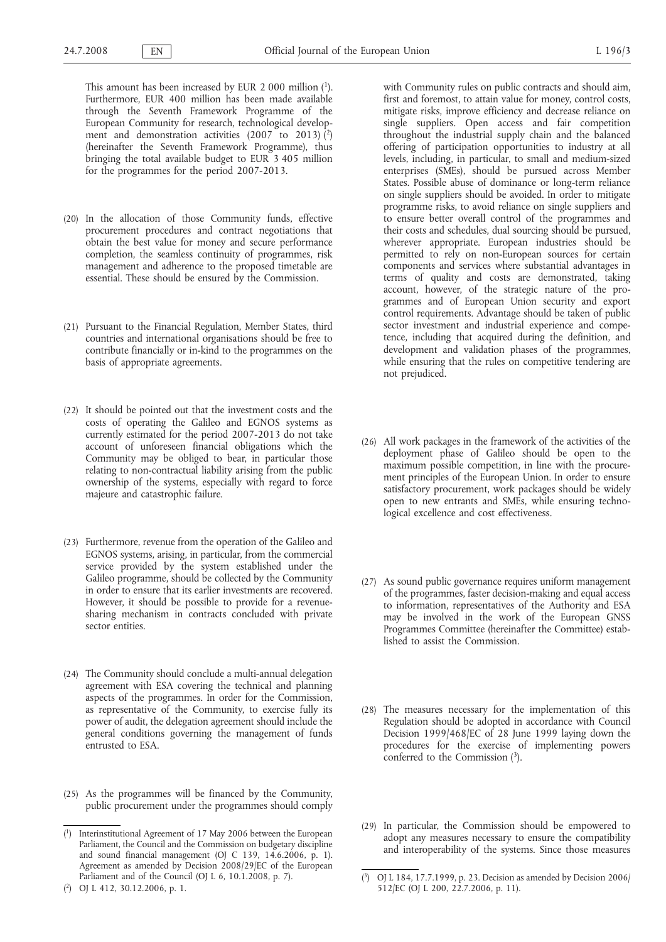This amount has been increased by EUR 2 000 million  $(1)$ . Furthermore, EUR 400 million has been made available through the Seventh Framework Programme of the European Community for research, technological development and demonstration activities (2007 to 2013)  $\binom{2}{3}$ (hereinafter the Seventh Framework Programme), thus bringing the total available budget to EUR 3 405 million for the programmes for the period 2007-2013.

- (20) In the allocation of those Community funds, effective procurement procedures and contract negotiations that obtain the best value for money and secure performance completion, the seamless continuity of programmes, risk management and adherence to the proposed timetable are essential. These should be ensured by the Commission.
- (21) Pursuant to the Financial Regulation, Member States, third countries and international organisations should be free to contribute financially or in-kind to the programmes on the basis of appropriate agreements.
- (22) It should be pointed out that the investment costs and the costs of operating the Galileo and EGNOS systems as currently estimated for the period 2007-2013 do not take account of unforeseen financial obligations which the Community may be obliged to bear, in particular those relating to non-contractual liability arising from the public ownership of the systems, especially with regard to force majeure and catastrophic failure.
- (23) Furthermore, revenue from the operation of the Galileo and EGNOS systems, arising, in particular, from the commercial service provided by the system established under the Galileo programme, should be collected by the Community in order to ensure that its earlier investments are recovered. However, it should be possible to provide for a revenuesharing mechanism in contracts concluded with private sector entities.
- (24) The Community should conclude a multi-annual delegation agreement with ESA covering the technical and planning aspects of the programmes. In order for the Commission, as representative of the Community, to exercise fully its power of audit, the delegation agreement should include the general conditions governing the management of funds entrusted to ESA.
- (25) As the programmes will be financed by the Community, public procurement under the programmes should comply

with Community rules on public contracts and should aim,

first and foremost, to attain value for money, control costs, mitigate risks, improve efficiency and decrease reliance on single suppliers. Open access and fair competition throughout the industrial supply chain and the balanced offering of participation opportunities to industry at all levels, including, in particular, to small and medium-sized enterprises (SMEs), should be pursued across Member States. Possible abuse of dominance or long-term reliance on single suppliers should be avoided. In order to mitigate programme risks, to avoid reliance on single suppliers and to ensure better overall control of the programmes and their costs and schedules, dual sourcing should be pursued, wherever appropriate. European industries should be permitted to rely on non-European sources for certain components and services where substantial advantages in terms of quality and costs are demonstrated, taking account, however, of the strategic nature of the programmes and of European Union security and export control requirements. Advantage should be taken of public sector investment and industrial experience and competence, including that acquired during the definition, and development and validation phases of the programmes, while ensuring that the rules on competitive tendering are not prejudiced.

- (26) All work packages in the framework of the activities of the deployment phase of Galileo should be open to the maximum possible competition, in line with the procurement principles of the European Union. In order to ensure satisfactory procurement, work packages should be widely open to new entrants and SMEs, while ensuring technological excellence and cost effectiveness.
- (27) As sound public governance requires uniform management of the programmes, faster decision-making and equal access to information, representatives of the Authority and ESA may be involved in the work of the European GNSS Programmes Committee (hereinafter the Committee) established to assist the Commission.
- (28) The measures necessary for the implementation of this Regulation should be adopted in accordance with Council Decision 1999/468/EC of 28 June 1999 laying down the procedures for the exercise of implementing powers conferred to the Commission (3).
- (29) In particular, the Commission should be empowered to adopt any measures necessary to ensure the compatibility and interoperability of the systems. Since those measures

<sup>(</sup> 1) Interinstitutional Agreement of 17 May 2006 between the European Parliament, the Council and the Commission on budgetary discipline and sound financial management (OJ C 139, 14.6.2006, p. 1). Agreement as amended by Decision 2008/29/EC of the European Parliament and of the Council (OJ L 6, 10.1.2008, p. 7).

<sup>(</sup> 2) OJ L 412, 30.12.2006, p. 1.

<sup>(</sup> 3) OJ L 184, 17.7.1999, p. 23. Decision as amended by Decision 2006/ 512/EC (OJ L 200, 22.7.2006, p. 11).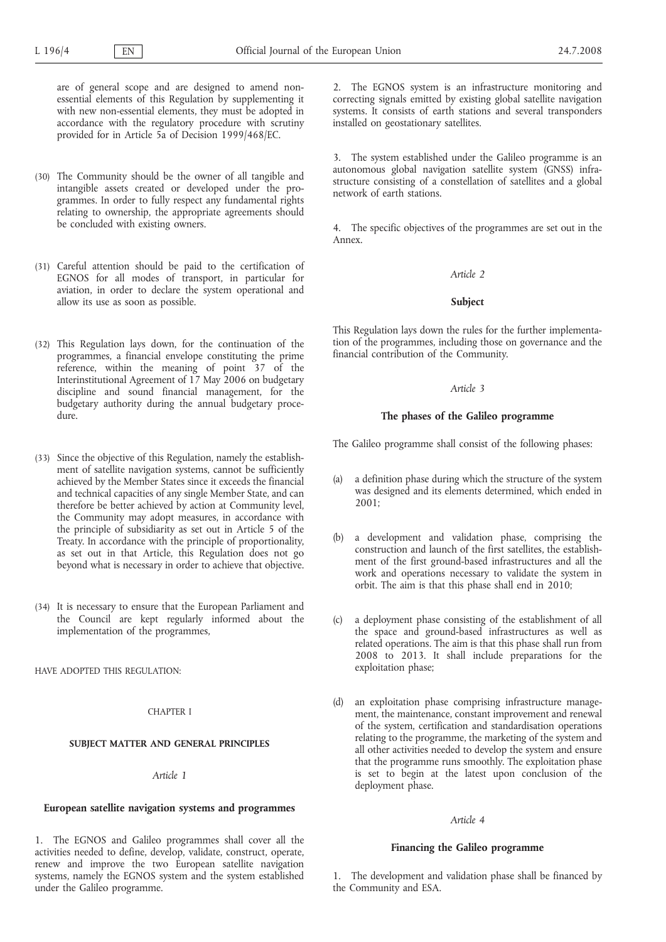are of general scope and are designed to amend nonessential elements of this Regulation by supplementing it with new non-essential elements, they must be adopted in accordance with the regulatory procedure with scrutiny provided for in Article 5a of Decision 1999/468/EC.

- (30) The Community should be the owner of all tangible and intangible assets created or developed under the programmes. In order to fully respect any fundamental rights relating to ownership, the appropriate agreements should be concluded with existing owners.
- (31) Careful attention should be paid to the certification of EGNOS for all modes of transport, in particular for aviation, in order to declare the system operational and allow its use as soon as possible.
- (32) This Regulation lays down, for the continuation of the programmes, a financial envelope constituting the prime reference, within the meaning of point 37 of the Interinstitutional Agreement of 17 May 2006 on budgetary discipline and sound financial management, for the budgetary authority during the annual budgetary procedure.
- (33) Since the objective of this Regulation, namely the establishment of satellite navigation systems, cannot be sufficiently achieved by the Member States since it exceeds the financial and technical capacities of any single Member State, and can therefore be better achieved by action at Community level, the Community may adopt measures, in accordance with the principle of subsidiarity as set out in Article 5 of the Treaty. In accordance with the principle of proportionality, as set out in that Article, this Regulation does not go beyond what is necessary in order to achieve that objective.
- (34) It is necessary to ensure that the European Parliament and the Council are kept regularly informed about the implementation of the programmes,

HAVE ADOPTED THIS REGULATION:

#### CHAPTER I

# **SUBJECT MATTER AND GENERAL PRINCIPLES**

### *Article 1*

### **European satellite navigation systems and programmes**

1. The EGNOS and Galileo programmes shall cover all the activities needed to define, develop, validate, construct, operate, renew and improve the two European satellite navigation systems, namely the EGNOS system and the system established under the Galileo programme.

2. The EGNOS system is an infrastructure monitoring and correcting signals emitted by existing global satellite navigation systems. It consists of earth stations and several transponders installed on geostationary satellites.

3. The system established under the Galileo programme is an autonomous global navigation satellite system (GNSS) infrastructure consisting of a constellation of satellites and a global network of earth stations.

4. The specific objectives of the programmes are set out in the Annex.

# *Article 2*

### **Subject**

This Regulation lays down the rules for the further implementation of the programmes, including those on governance and the financial contribution of the Community.

#### *Article 3*

#### **The phases of the Galileo programme**

The Galileo programme shall consist of the following phases:

- (a) a definition phase during which the structure of the system was designed and its elements determined, which ended in 2001;
- (b) a development and validation phase, comprising the construction and launch of the first satellites, the establishment of the first ground-based infrastructures and all the work and operations necessary to validate the system in orbit. The aim is that this phase shall end in 2010;
- (c) a deployment phase consisting of the establishment of all the space and ground-based infrastructures as well as related operations. The aim is that this phase shall run from 2008 to 2013. It shall include preparations for the exploitation phase;
- (d) an exploitation phase comprising infrastructure management, the maintenance, constant improvement and renewal of the system, certification and standardisation operations relating to the programme, the marketing of the system and all other activities needed to develop the system and ensure that the programme runs smoothly. The exploitation phase is set to begin at the latest upon conclusion of the deployment phase.

### *Article 4*

#### **Financing the Galileo programme**

1. The development and validation phase shall be financed by the Community and ESA.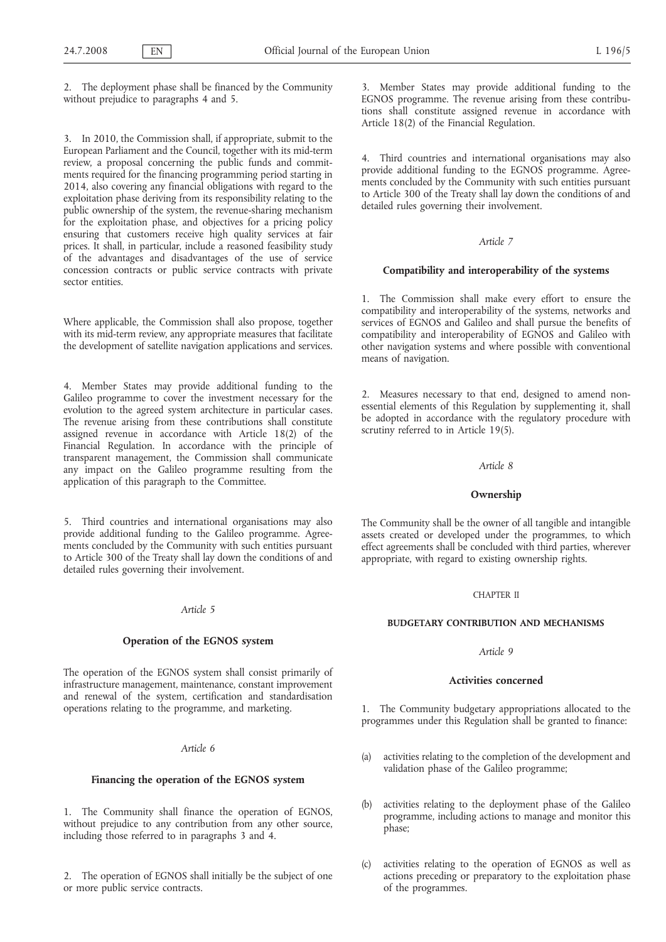2. The deployment phase shall be financed by the Community without prejudice to paragraphs 4 and 5.

3. In 2010, the Commission shall, if appropriate, submit to the European Parliament and the Council, together with its mid-term review, a proposal concerning the public funds and commitments required for the financing programming period starting in 2014, also covering any financial obligations with regard to the exploitation phase deriving from its responsibility relating to the public ownership of the system, the revenue-sharing mechanism for the exploitation phase, and objectives for a pricing policy ensuring that customers receive high quality services at fair prices. It shall, in particular, include a reasoned feasibility study of the advantages and disadvantages of the use of service concession contracts or public service contracts with private sector entities.

Where applicable, the Commission shall also propose, together with its mid-term review, any appropriate measures that facilitate the development of satellite navigation applications and services.

4. Member States may provide additional funding to the Galileo programme to cover the investment necessary for the evolution to the agreed system architecture in particular cases. The revenue arising from these contributions shall constitute assigned revenue in accordance with Article 18(2) of the Financial Regulation. In accordance with the principle of transparent management, the Commission shall communicate any impact on the Galileo programme resulting from the application of this paragraph to the Committee.

5. Third countries and international organisations may also provide additional funding to the Galileo programme. Agreements concluded by the Community with such entities pursuant to Article 300 of the Treaty shall lay down the conditions of and detailed rules governing their involvement.

# *Article 5*

### **Operation of the EGNOS system**

The operation of the EGNOS system shall consist primarily of infrastructure management, maintenance, constant improvement and renewal of the system, certification and standardisation operations relating to the programme, and marketing.

# *Article 6*

# **Financing the operation of the EGNOS system**

1. The Community shall finance the operation of EGNOS, without prejudice to any contribution from any other source, including those referred to in paragraphs 3 and 4.

2. The operation of EGNOS shall initially be the subject of one or more public service contracts.

3. Member States may provide additional funding to the EGNOS programme. The revenue arising from these contributions shall constitute assigned revenue in accordance with Article 18(2) of the Financial Regulation.

4. Third countries and international organisations may also provide additional funding to the EGNOS programme. Agreements concluded by the Community with such entities pursuant to Article 300 of the Treaty shall lay down the conditions of and detailed rules governing their involvement.

## *Article 7*

### **Compatibility and interoperability of the systems**

1. The Commission shall make every effort to ensure the compatibility and interoperability of the systems, networks and services of EGNOS and Galileo and shall pursue the benefits of compatibility and interoperability of EGNOS and Galileo with other navigation systems and where possible with conventional means of navigation.

2. Measures necessary to that end, designed to amend nonessential elements of this Regulation by supplementing it, shall be adopted in accordance with the regulatory procedure with scrutiny referred to in Article 19(5).

#### *Article 8*

#### **Ownership**

The Community shall be the owner of all tangible and intangible assets created or developed under the programmes, to which effect agreements shall be concluded with third parties, wherever appropriate, with regard to existing ownership rights.

# CHAPTER II

### **BUDGETARY CONTRIBUTION AND MECHANISMS**

#### *Article 9*

#### **Activities concerned**

1. The Community budgetary appropriations allocated to the programmes under this Regulation shall be granted to finance:

- (a) activities relating to the completion of the development and validation phase of the Galileo programme;
- (b) activities relating to the deployment phase of the Galileo programme, including actions to manage and monitor this phase;
- (c) activities relating to the operation of EGNOS as well as actions preceding or preparatory to the exploitation phase of the programmes.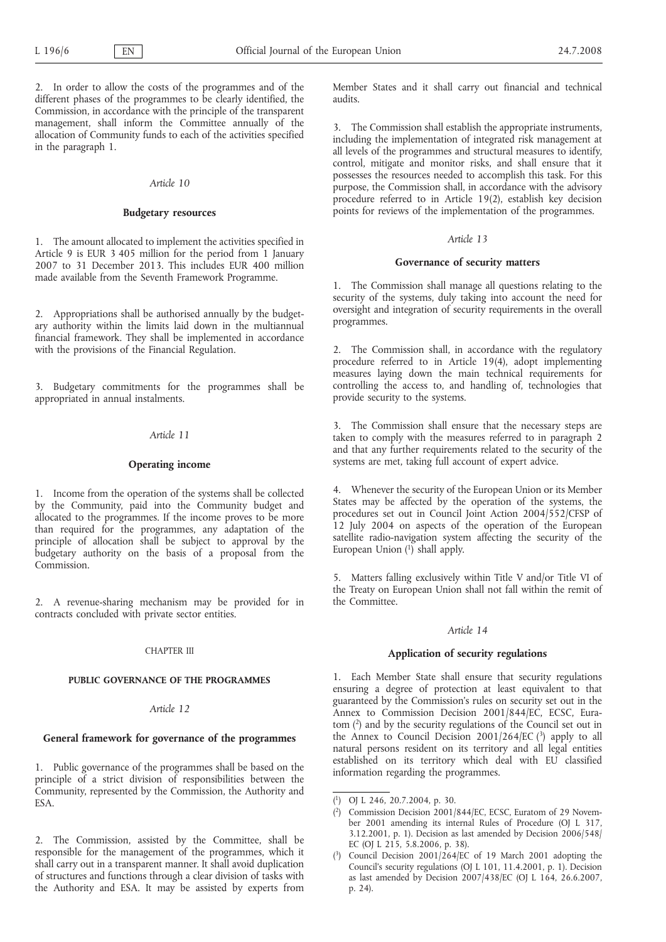2. In order to allow the costs of the programmes and of the different phases of the programmes to be clearly identified, the Commission, in accordance with the principle of the transparent management, shall inform the Committee annually of the allocation of Community funds to each of the activities specified in the paragraph 1.

# *Article 10*

### **Budgetary resources**

1. The amount allocated to implement the activities specified in Article 9 is EUR 3 405 million for the period from 1 January 2007 to 31 December 2013. This includes EUR 400 million made available from the Seventh Framework Programme.

2. Appropriations shall be authorised annually by the budgetary authority within the limits laid down in the multiannual financial framework. They shall be implemented in accordance with the provisions of the Financial Regulation.

3. Budgetary commitments for the programmes shall be appropriated in annual instalments.

# *Article 11*

# **Operating income**

1. Income from the operation of the systems shall be collected by the Community, paid into the Community budget and allocated to the programmes. If the income proves to be more than required for the programmes, any adaptation of the principle of allocation shall be subject to approval by the budgetary authority on the basis of a proposal from the Commission.

2. A revenue-sharing mechanism may be provided for in contracts concluded with private sector entities.

### CHAPTER III

# **PUBLIC GOVERNANCE OF THE PROGRAMMES**

# *Article 12*

# **General framework for governance of the programmes**

1. Public governance of the programmes shall be based on the principle of a strict division of responsibilities between the Community, represented by the Commission, the Authority and ESA.

2. The Commission, assisted by the Committee, shall be responsible for the management of the programmes, which it shall carry out in a transparent manner. It shall avoid duplication of structures and functions through a clear division of tasks with the Authority and ESA. It may be assisted by experts from

Member States and it shall carry out financial and technical audits.

3. The Commission shall establish the appropriate instruments, including the implementation of integrated risk management at all levels of the programmes and structural measures to identify, control, mitigate and monitor risks, and shall ensure that it possesses the resources needed to accomplish this task. For this purpose, the Commission shall, in accordance with the advisory procedure referred to in Article 19(2), establish key decision points for reviews of the implementation of the programmes.

# *Article 13*

# **Governance of security matters**

1. The Commission shall manage all questions relating to the security of the systems, duly taking into account the need for oversight and integration of security requirements in the overall programmes.

2. The Commission shall, in accordance with the regulatory procedure referred to in Article 19(4), adopt implementing measures laying down the main technical requirements for controlling the access to, and handling of, technologies that provide security to the systems.

3. The Commission shall ensure that the necessary steps are taken to comply with the measures referred to in paragraph 2 and that any further requirements related to the security of the systems are met, taking full account of expert advice.

4. Whenever the security of the European Union or its Member States may be affected by the operation of the systems, the procedures set out in Council Joint Action 2004/552/CFSP of 12 July 2004 on aspects of the operation of the European satellite radio-navigation system affecting the security of the European Union  $\binom{1}{1}$  shall apply.

5. Matters falling exclusively within Title V and/or Title VI of the Treaty on European Union shall not fall within the remit of the Committee.

#### *Article 14*

# **Application of security regulations**

1. Each Member State shall ensure that security regulations ensuring a degree of protection at least equivalent to that guaranteed by the Commission's rules on security set out in the Annex to Commission Decision 2001/844/EC, ECSC, Euratom (2) and by the security regulations of the Council set out in the Annex to Council Decision  $2001/264/EC$  (3) apply to all natural persons resident on its territory and all legal entities established on its territory which deal with EU classified information regarding the programmes.

<sup>(</sup> 1) OJ L 246, 20.7.2004, p. 30.

<sup>(</sup> 2) Commission Decision 2001/844/EC, ECSC, Euratom of 29 November 2001 amending its internal Rules of Procedure (OJ L 317, 3.12.2001, p. 1). Decision as last amended by Decision 2006/548/ EC (OJ L 215, 5.8.2006, p. 38).

<sup>(</sup> 3) Council Decision 2001/264/EC of 19 March 2001 adopting the Council's security regulations (OJ L 101, 11.4.2001, p. 1). Decision as last amended by Decision 2007/438/EC (OJ L 164, 26.6.2007, p. 24).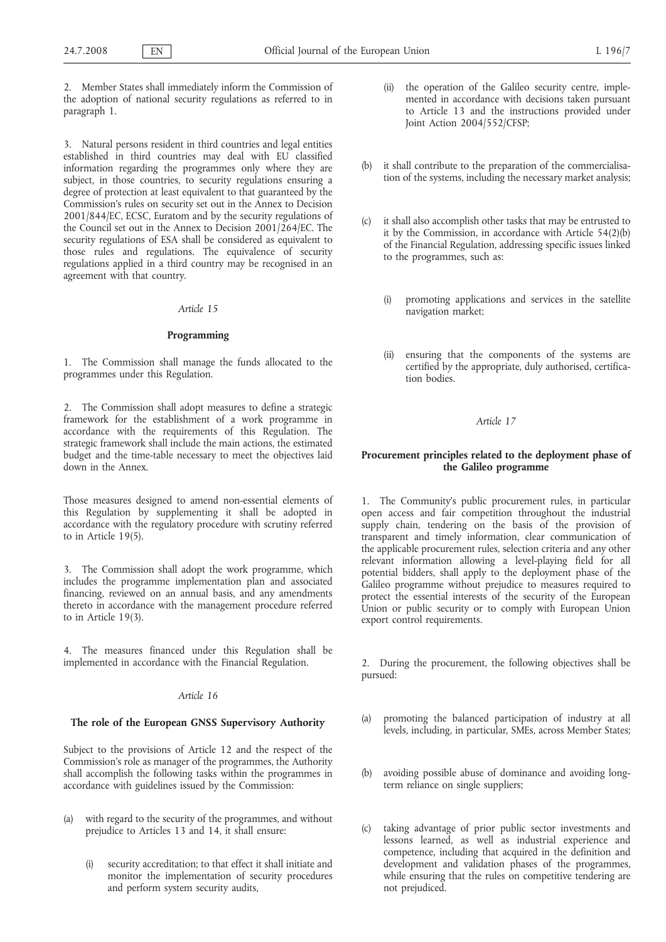2. Member States shall immediately inform the Commission of the adoption of national security regulations as referred to in paragraph 1.

3. Natural persons resident in third countries and legal entities established in third countries may deal with EU classified information regarding the programmes only where they are subject, in those countries, to security regulations ensuring a degree of protection at least equivalent to that guaranteed by the Commission's rules on security set out in the Annex to Decision 2001/844/EC, ECSC, Euratom and by the security regulations of the Council set out in the Annex to Decision 2001/264/EC. The security regulations of ESA shall be considered as equivalent to those rules and regulations. The equivalence of security regulations applied in a third country may be recognised in an agreement with that country.

#### *Article 15*

# **Programming**

1. The Commission shall manage the funds allocated to the programmes under this Regulation.

2. The Commission shall adopt measures to define a strategic framework for the establishment of a work programme in accordance with the requirements of this Regulation. The strategic framework shall include the main actions, the estimated budget and the time-table necessary to meet the objectives laid down in the Annex.

Those measures designed to amend non-essential elements of this Regulation by supplementing it shall be adopted in accordance with the regulatory procedure with scrutiny referred to in Article 19(5).

3. The Commission shall adopt the work programme, which includes the programme implementation plan and associated financing, reviewed on an annual basis, and any amendments thereto in accordance with the management procedure referred to in Article 19(3).

4. The measures financed under this Regulation shall be implemented in accordance with the Financial Regulation.

#### *Article 16*

## **The role of the European GNSS Supervisory Authority**

Subject to the provisions of Article 12 and the respect of the Commission's role as manager of the programmes, the Authority shall accomplish the following tasks within the programmes in accordance with guidelines issued by the Commission:

- (a) with regard to the security of the programmes, and without prejudice to Articles 13 and 14, it shall ensure:
	- (i) security accreditation; to that effect it shall initiate and monitor the implementation of security procedures and perform system security audits,
- (ii) the operation of the Galileo security centre, implemented in accordance with decisions taken pursuant to Article 13 and the instructions provided under Joint Action 2004/552/CFSP;
- (b) it shall contribute to the preparation of the commercialisation of the systems, including the necessary market analysis;
- (c) it shall also accomplish other tasks that may be entrusted to it by the Commission, in accordance with Article 54(2)(b) of the Financial Regulation, addressing specific issues linked to the programmes, such as:
	- (i) promoting applications and services in the satellite navigation market;
	- (ii) ensuring that the components of the systems are certified by the appropriate, duly authorised, certification bodies.

# *Article 17*

# **Procurement principles related to the deployment phase of the Galileo programme**

1. The Community's public procurement rules, in particular open access and fair competition throughout the industrial supply chain, tendering on the basis of the provision of transparent and timely information, clear communication of the applicable procurement rules, selection criteria and any other relevant information allowing a level-playing field for all potential bidders, shall apply to the deployment phase of the Galileo programme without prejudice to measures required to protect the essential interests of the security of the European Union or public security or to comply with European Union export control requirements.

2. During the procurement, the following objectives shall be pursued:

- (a) promoting the balanced participation of industry at all levels, including, in particular, SMEs, across Member States;
- (b) avoiding possible abuse of dominance and avoiding longterm reliance on single suppliers;
- (c) taking advantage of prior public sector investments and lessons learned, as well as industrial experience and competence, including that acquired in the definition and development and validation phases of the programmes, while ensuring that the rules on competitive tendering are not prejudiced.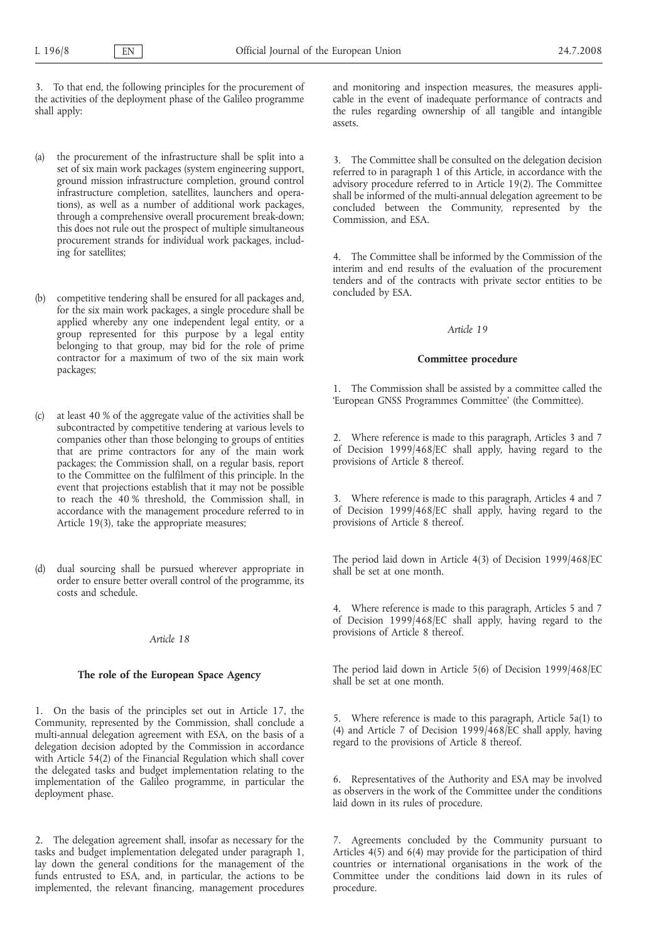3. To that end, the following principles for the procurement of the activities of the deployment phase of the Galileo programme shall apply:

- (a) the procurement of the infrastructure shall be split into a set of six main work packages (system engineering support, ground mission infrastructure completion, ground control infrastructure completion, satellites, launchers and operations), as well as a number of additional work packages, through a comprehensive overall procurement break-down; this does not rule out the prospect of multiple simultaneous procurement strands for individual work packages, including for satellites;
- (b) competitive tendering shall be ensured for all packages and, for the six main work packages, a single procedure shall be applied whereby any one independent legal entity, or a group represented for this purpose by a legal entity belonging to that group, may bid for the role of prime contractor for a maximum of two of the six main work packages;
- (c) at least 40 % of the aggregate value of the activities shall be subcontracted by competitive tendering at various levels to companies other than those belonging to groups of entities that are prime contractors for any of the main work packages; the Commission shall, on a regular basis, report to the Committee on the fulfilment of this principle. In the event that projections establish that it may not be possible to reach the 40 % threshold, the Commission shall, in accordance with the management procedure referred to in Article 19(3), take the appropriate measures;
- (d) dual sourcing shall be pursued wherever appropriate in order to ensure better overall control of the programme, its costs and schedule.

#### *Article 18*

## **The role of the European Space Agency**

1. On the basis of the principles set out in Article 17, the Community, represented by the Commission, shall conclude a multi-annual delegation agreement with ESA, on the basis of a delegation decision adopted by the Commission in accordance with Article 54(2) of the Financial Regulation which shall cover the delegated tasks and budget implementation relating to the implementation of the Galileo programme, in particular the deployment phase.

2. The delegation agreement shall, insofar as necessary for the tasks and budget implementation delegated under paragraph 1, lay down the general conditions for the management of the funds entrusted to ESA, and, in particular, the actions to be implemented, the relevant financing, management procedures

and monitoring and inspection measures, the measures applicable in the event of inadequate performance of contracts and the rules regarding ownership of all tangible and intangible assets.

3. The Committee shall be consulted on the delegation decision referred to in paragraph 1 of this Article, in accordance with the advisory procedure referred to in Article 19(2). The Committee shall be informed of the multi-annual delegation agreement to be concluded between the Community, represented by the Commission, and ESA.

4. The Committee shall be informed by the Commission of the interim and end results of the evaluation of the procurement tenders and of the contracts with private sector entities to be concluded by ESA.

### *Article 19*

# **Committee procedure**

1. The Commission shall be assisted by a committee called the 'European GNSS Programmes Committee' (the Committee).

2. Where reference is made to this paragraph, Articles 3 and 7 of Decision 1999/468/EC shall apply, having regard to the provisions of Article 8 thereof.

3. Where reference is made to this paragraph, Articles 4 and 7 of Decision 1999/468/EC shall apply, having regard to the provisions of Article 8 thereof.

The period laid down in Article 4(3) of Decision 1999/468/EC shall be set at one month.

4. Where reference is made to this paragraph, Articles 5 and 7 of Decision 1999/468/EC shall apply, having regard to the provisions of Article 8 thereof.

The period laid down in Article 5(6) of Decision 1999/468/EC shall be set at one month.

5. Where reference is made to this paragraph, Article 5a(1) to (4) and Article 7 of Decision 1999/468/EC shall apply, having regard to the provisions of Article 8 thereof.

6. Representatives of the Authority and ESA may be involved as observers in the work of the Committee under the conditions laid down in its rules of procedure.

7. Agreements concluded by the Community pursuant to Articles 4(5) and 6(4) may provide for the participation of third countries or international organisations in the work of the Committee under the conditions laid down in its rules of procedure.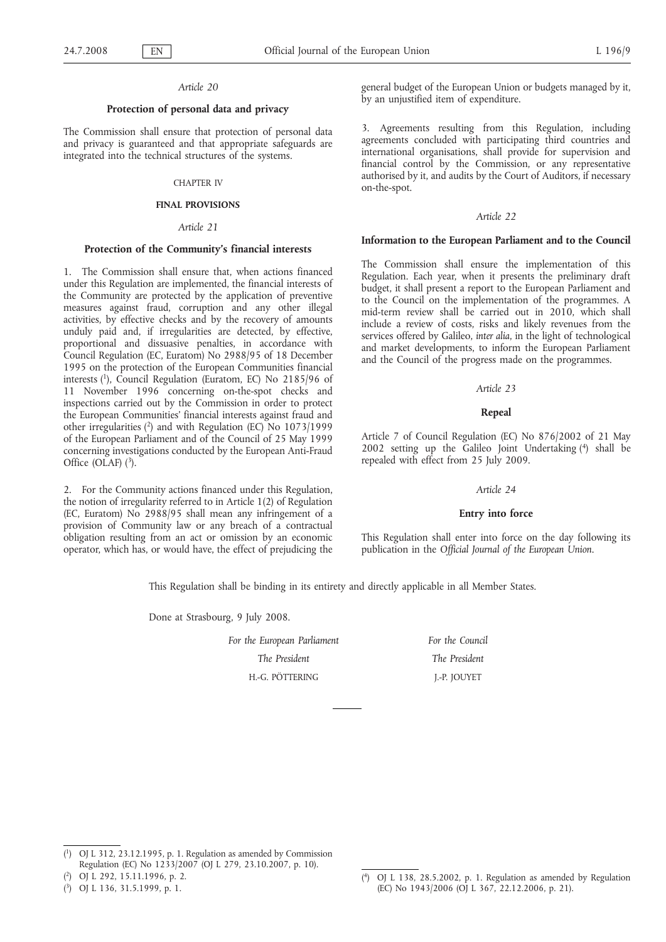#### *Article 20*

#### **Protection of personal data and privacy**

The Commission shall ensure that protection of personal data and privacy is guaranteed and that appropriate safeguards are integrated into the technical structures of the systems.

#### CHAPTER IV

# **FINAL PROVISIONS**

# *Article 21*

#### **Protection of the Community's financial interests**

1. The Commission shall ensure that, when actions financed under this Regulation are implemented, the financial interests of the Community are protected by the application of preventive measures against fraud, corruption and any other illegal activities, by effective checks and by the recovery of amounts unduly paid and, if irregularities are detected, by effective, proportional and dissuasive penalties, in accordance with Council Regulation (EC, Euratom) No 2988/95 of 18 December 1995 on the protection of the European Communities financial interests (1), Council Regulation (Euratom, EC) No 2185/96 of 11 November 1996 concerning on-the-spot checks and inspections carried out by the Commission in order to protect the European Communities' financial interests against fraud and other irregularities (2) and with Regulation (EC) No 1073/1999 of the European Parliament and of the Council of 25 May 1999 concerning investigations conducted by the European Anti-Fraud Office (OLAF)  $(^3)$ .

2. For the Community actions financed under this Regulation, the notion of irregularity referred to in Article 1(2) of Regulation (EC, Euratom) No 2988/95 shall mean any infringement of a provision of Community law or any breach of a contractual obligation resulting from an act or omission by an economic operator, which has, or would have, the effect of prejudicing the general budget of the European Union or budgets managed by it, by an unjustified item of expenditure.

3. Agreements resulting from this Regulation, including agreements concluded with participating third countries and international organisations, shall provide for supervision and financial control by the Commission, or any representative authorised by it, and audits by the Court of Auditors, if necessary on-the-spot.

#### *Article 22*

### **Information to the European Parliament and to the Council**

The Commission shall ensure the implementation of this Regulation. Each year, when it presents the preliminary draft budget, it shall present a report to the European Parliament and to the Council on the implementation of the programmes. A mid-term review shall be carried out in 2010, which shall include a review of costs, risks and likely revenues from the services offered by Galileo, *inter alia*, in the light of technological and market developments, to inform the European Parliament and the Council of the progress made on the programmes.

#### *Article 23*

#### **Repeal**

Article 7 of Council Regulation (EC) No 876/2002 of 21 May 2002 setting up the Galileo Joint Undertaking  $(4)$  shall be repealed with effect from 25 July 2009.

#### *Article 24*

#### **Entry into force**

This Regulation shall enter into force on the day following its publication in the *Official Journal of the European Union*.

This Regulation shall be binding in its entirety and directly applicable in all Member States.

Done at Strasbourg, 9 July 2008.

*For the European Parliament The President* H.-G. PÖTTERING

*For the Council The President* J.-P. JOUYET

 $(1)$ 1) OJ L 312, 23.12.1995, p. 1. Regulation as amended by Commission Regulation (EC) No 1233/2007 (OJ L 279, 23.10.2007, p. 10).

<sup>(</sup> 2) OJ L 292, 15.11.1996, p. 2.

<sup>(</sup> 3) OJ L 136, 31.5.1999, p. 1.

 $(4)$ 4) OJ L 138, 28.5.2002, p. 1. Regulation as amended by Regulation (EC) No 1943/2006 (OJ L 367, 22.12.2006, p. 21).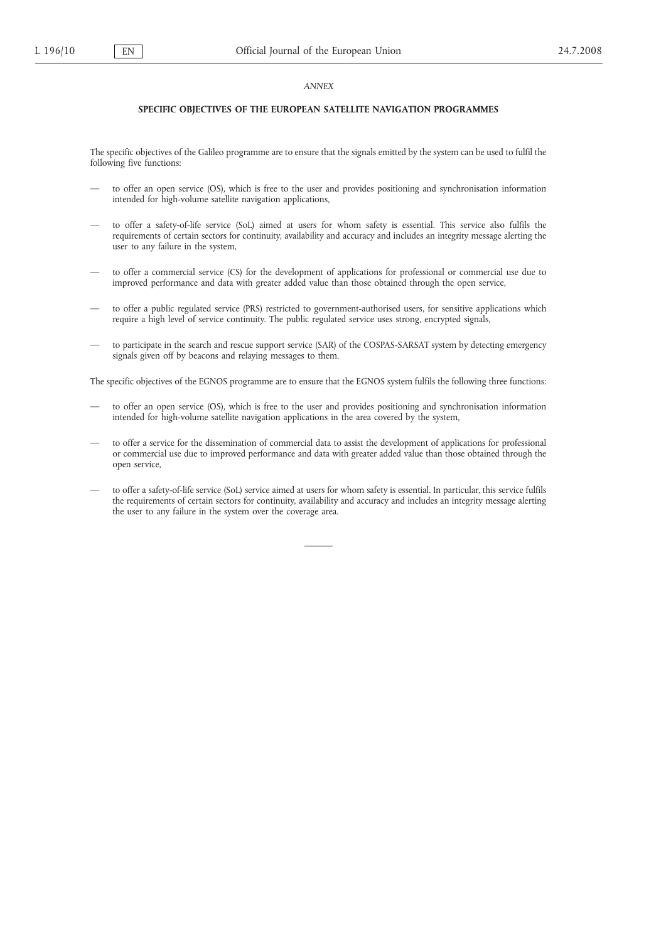#### *ANNEX*

#### **SPECIFIC OBJECTIVES OF THE EUROPEAN SATELLITE NAVIGATION PROGRAMMES**

The specific objectives of the Galileo programme are to ensure that the signals emitted by the system can be used to fulfil the following five functions:

- to offer an open service (OS), which is free to the user and provides positioning and synchronisation information intended for high-volume satellite navigation applications,
- to offer a safety-of-life service (SoL) aimed at users for whom safety is essential. This service also fulfils the requirements of certain sectors for continuity, availability and accuracy and includes an integrity message alerting the user to any failure in the system,
- to offer a commercial service (CS) for the development of applications for professional or commercial use due to improved performance and data with greater added value than those obtained through the open service,
- to offer a public regulated service (PRS) restricted to government-authorised users, for sensitive applications which require a high level of service continuity. The public regulated service uses strong, encrypted signals,
- to participate in the search and rescue support service (SAR) of the COSPAS-SARSAT system by detecting emergency signals given off by beacons and relaying messages to them.

The specific objectives of the EGNOS programme are to ensure that the EGNOS system fulfils the following three functions:

- to offer an open service (OS), which is free to the user and provides positioning and synchronisation information intended for high-volume satellite navigation applications in the area covered by the system,
- to offer a service for the dissemination of commercial data to assist the development of applications for professional or commercial use due to improved performance and data with greater added value than those obtained through the open service,
- to offer a safety-of-life service (SoL) service aimed at users for whom safety is essential. In particular, this service fulfils the requirements of certain sectors for continuity, availability and accuracy and includes an integrity message alerting the user to any failure in the system over the coverage area.